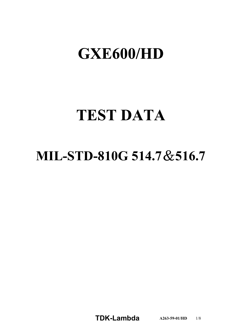# GXE600/HD

# **TEST DATA**

## MIL-STD-810G 514.7 & 516.7

**TDKLambda A2635901/HD** 1/8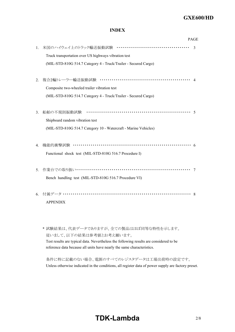## **GXE600/HD**

## **INDEX**

|    |                                                                 | <b>PAGE</b> |
|----|-----------------------------------------------------------------|-------------|
| 1. |                                                                 | 3           |
|    | Truck transportation over US highways vibration test            |             |
|    | (MIL-STD-810G 514.7 Category 4 - Truck/Trailer - Secured Cargo) |             |
| 2. |                                                                 |             |
|    | Composite two-wheeled trailer vibration test                    |             |
|    | (MIL-STD-810G 514.7 Category 4 - Truck/Trailer - Secured Cargo) |             |
|    |                                                                 |             |
| 3. |                                                                 |             |
|    | Shipboard random vibration test                                 |             |
|    | (MIL-STD-810G 514.7 Category 10 - Watercraft - Marine Vehicles) |             |
|    |                                                                 |             |
| 4. | 機能的衝擊試験 ………………………………………………………………                                |             |
|    | Functional shock test (MIL-STD-810G 516.7 Procedure I)          |             |
|    |                                                                 |             |
| 5. |                                                                 |             |
|    | Bench handling test (MIL-STD-810G 516.7 Procedure VI)           |             |
|    |                                                                 |             |
| 6. |                                                                 |             |
|    | <b>APPENDIX</b>                                                 |             |
|    |                                                                 |             |

\* 試験結果は、代表データでありますが、全ての製品はほぼ同等な特性を示します。 従いまして、以下の結果は参考値とお考え願います。 Test results are typical data. Nevertheless the following results are considered to be reference data because all units have nearly the same characteristics.

条件に特に記載のない場合、電源のすべてのレジスタデータは工場出荷時の設定です。 Unless otherwise indicated in the conditions, all register data of power supply are factory preset.

## **TDK-Lambda**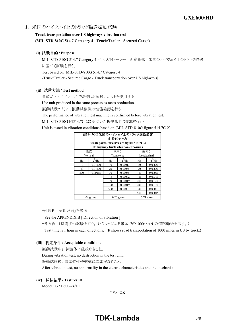1. 米国のハイウェイ上のトラック輸送振動試験

## **Truck transportation over US highways vibration test** (MIL-STD-810G 514.7 Category 4 - Truck/Trailer - Secured Cargo)

**(i) / Purpose**

MIL-STD-810G 514.7 Category 4 トラック/トレーラー - 固定貨物 - 米国のハイウェイ上のトラック輸送 に基づく試験を行う。 Test based on [MIL-STD-810G 514.7 Category 4

-Truck/Trailer - Secured Cargo - Truck transportation over US highways].

## (ii) 試験方法 / Test method

量産品と同じプロセスで製造した試験ユニットを使用する。 Use unit produced in the same process as mass production. 振動試験の前に、振動試験機の性能確認を行う。

The performance of vibration test machine is confirmed before vibration test.

MIL-STD-810G 図514.7C-2に基づいた振動条件で試験を行う。

Unit is tested in vibration conditions based on [MIL-STD-810G figure 514.7C-2].

| 図514.7C-2 米国のハイウェイ上のトラック振動暴露                         |           |     |              |              |              |
|------------------------------------------------------|-----------|-----|--------------|--------------|--------------|
| 曲線区切り点<br>Break points for curves of figure 514.7C-2 |           |     |              |              |              |
| US highway truck vibration exposures                 |           |     |              |              |              |
|                                                      | 横向き<br>垂直 |     | 縦向き          |              |              |
|                                                      | Vertical  |     | Transverse   | Longitudinal |              |
| Hz                                                   | $g^2$ /Hz | Hz. | $g^2$ /Hz    | Hz           | $g^2$ /Hz    |
| 10                                                   | 0.01500   | 10  | 0.00013      | 10           | 0.00650      |
| 40                                                   | 0.01500   | 20  | 0.00065      | 20           | 0.00650      |
| 500                                                  | 0.00015   | 30  | 0.00065      | 120          | 0.00020      |
|                                                      |           | 78  | 0.00002      | 121          | 0.00300      |
|                                                      |           | 79  | 0.00019      | 200          | 0.00300      |
|                                                      |           | 120 | 0.00019      | 240          | 0.00150      |
|                                                      |           | 500 | 0.00001      | 340          | 0.00003      |
|                                                      |           |     |              | 500          | 0.00015      |
| $1.04$ g rms                                         |           |     | $0.20$ g rms |              | $0.74$ g rms |

\*付属B 「振動方向」を参照

See the APPENDIX B [ Direction of vibration ]

\*各方向、1時間ずつ試験を行う。 (トラックによる米国での1000マイルの道路輸送を示す。) Test time is 1 hour in each directions. (It shows road transportation of 1000 miles in US by truck.)

#### **(iii) / Acceptable conditions**

振動試験中に試験体に破損なきこと。

During vibration test, no destruction in the test unit.

振動試験後、電気特性や機構に異常がなきこと。

After vibration test, no abnormality in the electric characteristics and the mechanism.

**(iv) / Test result**

Model: GXE600-24/HD

合格 OK

## **TDKLambda** 3/8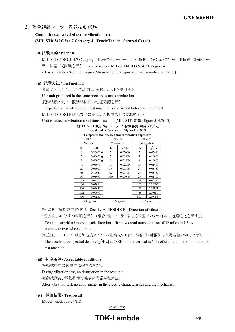## **Composite two-wheeled trailer vibration test** (MIL-STD-810G 514.7 Category 4 - Truck/Trailer - Secured Cargo)

**(i) / Purpose**

MIL-STD-810G 514.7 Category 4 トラックルレーラー - 固定貨物 - ミッション/フィールド輸送 - 2輪トレー ラー に基づく試験を行う。 Test based on [MIL-STD-810G 514.7 Category 4 - Truck/Trailer - Secured Cargo - Mission/field transportation - Two-wheeled trailer].

(ii) 試験方法 / Test method

量産品と同じプロセスで製造した試験ユニットを使用する。

Use unit produced in the same process as mass production.

振動試験の前に、振動試験機の性能確認を行う。

The performance of vibration test machine is confirmed before vibration test.

MIL-STD-810G 図514.7C-3に基づいた振動条件で試験を行う。

Unit is tested in vibration conditions based on [MIL-STD-810G figure 514.7C-3].

| 図514.7C-3 複合2輪トレーラーの振動暴露 曲線区切り点            |                                                   |            |              |              |              |
|--------------------------------------------|---------------------------------------------------|------------|--------------|--------------|--------------|
| Break points for curves of figure 514.7C-3 |                                                   |            |              |              |              |
|                                            | Composite two-wheeled trailer vibration exposures |            |              |              |              |
|                                            | 垂直                                                | 横向き        |              | 縦向き          |              |
|                                            | Vertical                                          | Transverse |              | Longitudinal |              |
| Hz                                         | $g^2$ /Hz                                         | Hz         | $g^2$ /Hz    | Hz           | $g^2$ /Hz    |
| 5                                          | $0.20000 \times$                                  | 5          | 0.05000      | 5            | 0.05418      |
| 7                                          | $0.40000 \times$                                  | 7          | 0.06500      | 7            | 0.10000      |
| 8                                          | $0.40000 \times$                                  | 8          | 0.06500      | 8            | 0.10000      |
| 10                                         | 0.05090                                           | 11         | 0.02200      | 13           | 0.01400      |
| 20                                         | 0.04000                                           | 87         | 0.00306      | 21           | 0.03780      |
| 43                                         | 0.10036                                           | 475        | 0.00108      | 23           | 0.03780      |
| 50                                         | 0.03079                                           | 500        | 0.00046      | 25           | 0.01700      |
| 105                                        | 0.07500                                           |            |              | 76           | 0.00310      |
| 150                                        | 0.02964                                           |            |              | 100          | 0.08000      |
| 259                                        | 0.04636                                           |            |              | 140          | 0.05354      |
| 332                                        | 0.00970                                           |            |              | 155          | 0.00551      |
| 500                                        | 0.00537                                           |            |              | 500          | 0.00456      |
| $3.98$ g rms                               |                                                   |            | $1.22$ g rms |              | $2.52$ g rms |

\*付属B 「振動方向」を参照 See the APPENDIX B [ Direction of vibration ]

\*各方向、 40分ずつ試験を行う。(複合2輪トレーラーによる米国での32マイルの道路輸送を示す。) Test time are 40 minutes in each directions. (It shows road transportation of 32 miles in US by

composite two-wheeled trailer.)

※垂直、5~8Hzにおける加速度スペクトル密度[g<sup>2</sup>/Hz]は、試験機の制限により規格値の50%で行う。

The acceleration spectral density  $\left[g^2/Hz\right]$  at 5~8Hz in the vertical is 50% of standard due to limitation of test machine.

**(iii) / Acceptable conditions**

振動試験中に試験体に破損なきこと。

During vibration test, no destruction in the test unit.

振動試験後、電気特性や機構に異常がなきこと。

After vibration test, no abnormality in the electric characteristics and the mechanism.

**(iv) / Test result**

Model: GXE600-24/HD

合格 OK

## **TDKLambda** 4/8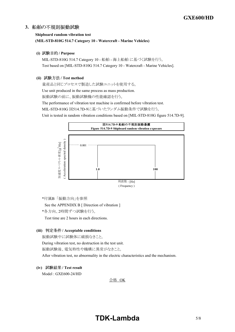## **Shipboard random vibration test** (MIL-STD-810G 514.7 Category 10 - Watercraft - Marine Vehicles)

#### **(i) / Purpose**

MIL-STD-810G 514.7 Category 10 - 船舶 - 海上船舶 に基づく試験を行う。 Test based on [MIL-STD-810G 514.7 Category 10 - Watercraft - Marine Vehicles].

#### (ii) 試験方法 / Test method

量産品と同じプロセスで製造した試験ユニットを使用する。

Use unit produced in the same process as mass production.

振動試験の前に、振動試験機の性能確認を行う。

The performance of vibration test machine is confirmed before vibration test.

MIL-STD-810G 図514.7D-9に基づいたランダム振動条件で試験を行う。

Unit is tested in random vibration conditions based on [MIL-STD-810G figure 514.7D-9].



\*付属B 「振動方向」を参照

See the APPENDIX B [ Direction of vibration ]

\*各方向、2時間ずつ試験を行う。

Test time are 2 hours in each directions.

## **(iii) / Acceptable conditions**

振動試験中に試験体に破損なきこと。 During vibration test, no destruction in the test unit. 振動試験後、電気特性や機構に異常がなきこと。 After vibration test, no abnormality in the electric characteristics and the mechanism.

## **(iv) / Test result**

Model: GXE600-24/HD

合格 OK

## **TDKLambda**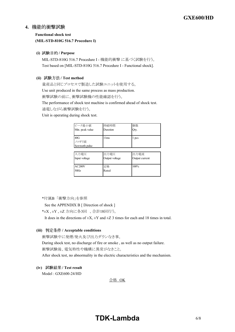## **Functional shock test (MILSTD810G 516.7 Procedure I)**

#### **(i) / Purpose**

MIL-STD-810G 516.7 Procedure I - 機能的衝撃 に基づく試験を行う。 Test based on [MIL-STD-810G 516.7 Procedure I - Functional shock].

#### (ii) 試験方法 / Test method

量産品と同じプロセスで製造した試験ユニットを使用する。

Use unit produced in the same process as mass production.

衝撃試験の前に、衝撃試験機の性能確認を行う。

The performance of shock test machine is confirmed ahead of shock test.

通電しながら衝撃試験を行う。

Unit is operating during shock test.

| ピーク最小値                         | 持続時間     | 個数    |
|--------------------------------|----------|-------|
| Min. peak value                | Duration | Qty.  |
| 40G<br>ノコギリ波<br>Sawtooth pulse | 11ms     | 1 pcs |

| 入力電圧          | 出力電圧           | 出力電流           |
|---------------|----------------|----------------|
| Input voltage | Output voltage | Output current |
|               |                |                |
| AC200V        | 定格             | 100%           |
| 50Hz          | Rated          |                |
|               |                |                |

\*付属B 「衝撃方向」を参照

See the APPENDIX B [ Direction of shock ]

\*±X , ±Y , ±Z 方向に各3回 、合計18回行う。

It does in the directions of  $\pm X$ ,  $\pm Y$  and  $\pm Z$  3 times for each and 18 times in total.

#### **(iii) / Acceptable conditions**

衝撃試験中に発煙/発火及び出力ダウンなき事。 During shock test, no discharge of fire or smoke , as well as no output failure. 衝撃試験後、電気特性や機構に異常がなきこと。

After shock test, no abnormality in the electric characteristics and the mechanism.

## **(iv) / Test result**

Model: GXE600-24/HD

合格 OK

## **TDKLambda**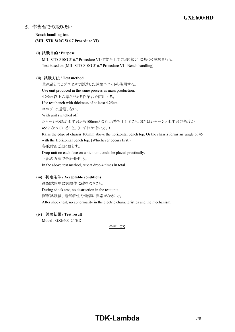**Bench handling test (MILSTD810G 516.7 Procedure VI)**

## **(i) / Purpose**

MIL-STD-810G 516.7 Procedure VI 作業台上での取り扱い に基づく試験を行う。 Test based on [MIL-STD-810G 516.7 Procedure VI - Bench handling].

### (ii) 試験方法 / Test method

量産品と同じプロセスで製造した試験ユニットを使用する。

Use unit produced in the same process as mass production.

4.25cm以上の厚さがある作業台を使用する。

Use test bench with thickness of at least 4.25cm.

ユニットは通電しない。

With unit switched off.

シャーシの端が水平台から100mmとなるよう持ち上げること。またはシャーシと水平台の角度が

45°になっていること。(いずれか低い方。)

Raise the edge of chassis 100mm above the horizontal bench top. Or the chassis forms an angle of 45° with the Horizontal bench top. (Whichever occurs first.)

各取付面ごとに落とす。

Drop unit on each face on which unit could be placed practically.

上記の方法で合計4回行う。

In the above test method, repeat drop 4 times in total.

#### **(iii) / Acceptable conditions**

衝撃試験中に試験体に破損なきこと。 During shock test, no destruction in the test unit. 衝撃試験後、電気特性や機構に異常がなきこと。 After shock test, no abnormality in the electric characteristics and the mechanism.

## **(iv) / Test result**

Model: GXE600-24/HD

合格 OK

## **TDKLambda**